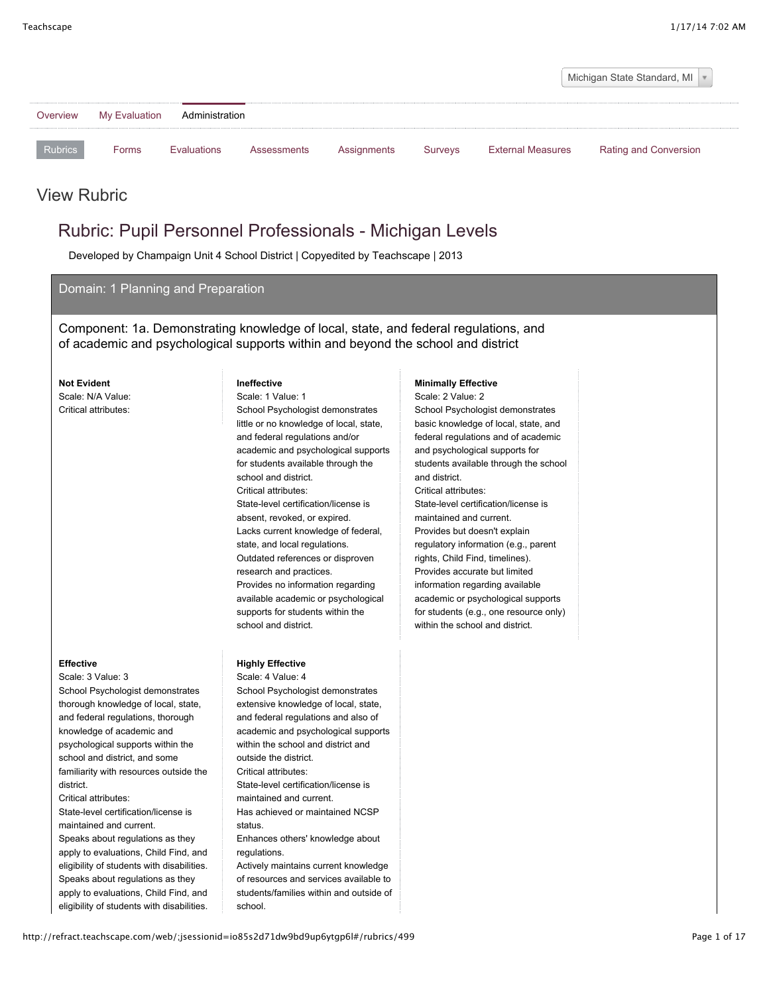

### **Effective**

- Scale: 3 Value: 3 School Psychologist demonstrates thorough knowledge of local, state, and federal regulations, thorough knowledge of academic and psychological supports within the school and district, and some familiarity with resources outside the district. Critical attributes:
- State-level certification/license is maintained and current. Speaks about regulations as they apply to evaluations, Child Find, and eligibility of students with disabilities. Speaks about regulations as they

# apply to evaluations, Child Find, and eligibility of students with disabilities.

little or no knowledge of local, state, and federal regulations and/or academic and psychological supports for students available through the school and district. Critical attributes: State-level certification/license is absent, revoked, or expired. Lacks current knowledge of federal, state, and local regulations. Outdated references or disproven research and practices. Provides no information regarding available academic or psychological supports for students within the school and district.

## **Highly Effective**

Scale: 4 Value: 4 School Psychologist demonstrates extensive knowledge of local, state, and federal regulations and also of academic and psychological supports within the school and district and outside the district. Critical attributes: State-level certification/license is maintained and current. Has achieved or maintained NCSP status. Enhances others' knowledge about regulations. Actively maintains current knowledge

of resources and services available to students/families within and outside of school.

basic knowledge of local, state, and federal regulations and of academic and psychological supports for students available through the school and district. Critical attributes: State-level certification/license is maintained and current. Provides but doesn't explain regulatory information (e.g., parent rights, Child Find, timelines). Provides accurate but limited information regarding available academic or psychological supports for students (e.g., one resource only) within the school and district.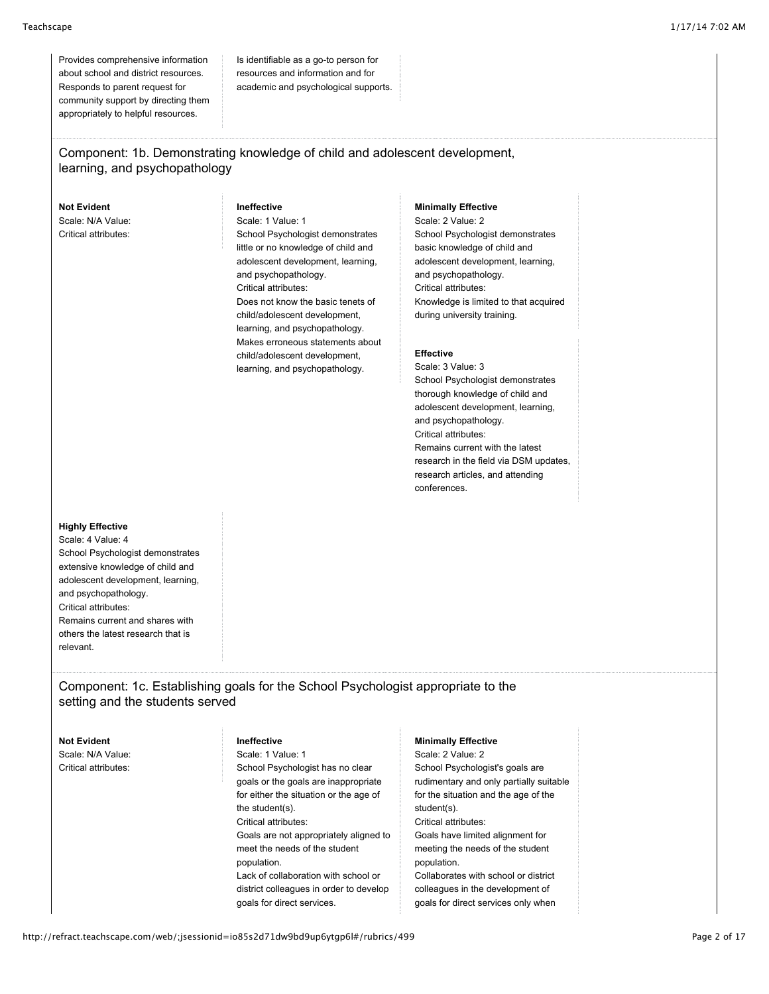Provides comprehensive information about school and district resources. Responds to parent request for community support by directing them appropriately to helpful resources.

Is identifiable as a go-to person for resources and information and for academic and psychological supports.

# Component: 1b. Demonstrating knowledge of child and adolescent development, learning, and psychopathology

**Not Evident** Scale: N/A Value: Critical attributes:

#### **Ineffective** Scale: 1 Value: 1

School Psychologist demonstrates little or no knowledge of child and adolescent development, learning, and psychopathology. Critical attributes: Does not know the basic tenets of child/adolescent development, learning, and psychopathology. Makes erroneous statements about child/adolescent development, learning, and psychopathology.

### **Minimally Effective**

Scale: 2 Value: 2 School Psychologist demonstrates basic knowledge of child and adolescent development, learning, and psychopathology. Critical attributes: Knowledge is limited to that acquired during university training.

#### **Effective**

Scale: 3 Value: 3 School Psychologist demonstrates thorough knowledge of child and adolescent development, learning, and psychopathology. Critical attributes: Remains current with the latest research in the field via DSM updates, research articles, and attending conferences.

### **Highly Effective**

Scale: 4 Value: 4 School Psychologist demonstrates extensive knowledge of child and adolescent development, learning, and psychopathology. Critical attributes: Remains current and shares with others the latest research that is relevant.

# Component: 1c. Establishing goals for the School Psychologist appropriate to the setting and the students served

**Not Evident** Scale: N/A Value: Critical attributes:

# **Ineffective**

Scale: 1 Value: 1 School Psychologist has no clear goals or the goals are inappropriate for either the situation or the age of the student(s). Critical attributes: Goals are not appropriately aligned to meet the needs of the student population. Lack of collaboration with school or district colleagues in order to develop goals for direct services.

### **Minimally Effective**

Scale: 2 Value: 2 School Psychologist's goals are rudimentary and only partially suitable for the situation and the age of the student(s). Critical attributes: Goals have limited alignment for meeting the needs of the student population. Collaborates with school or district colleagues in the development of goals for direct services only when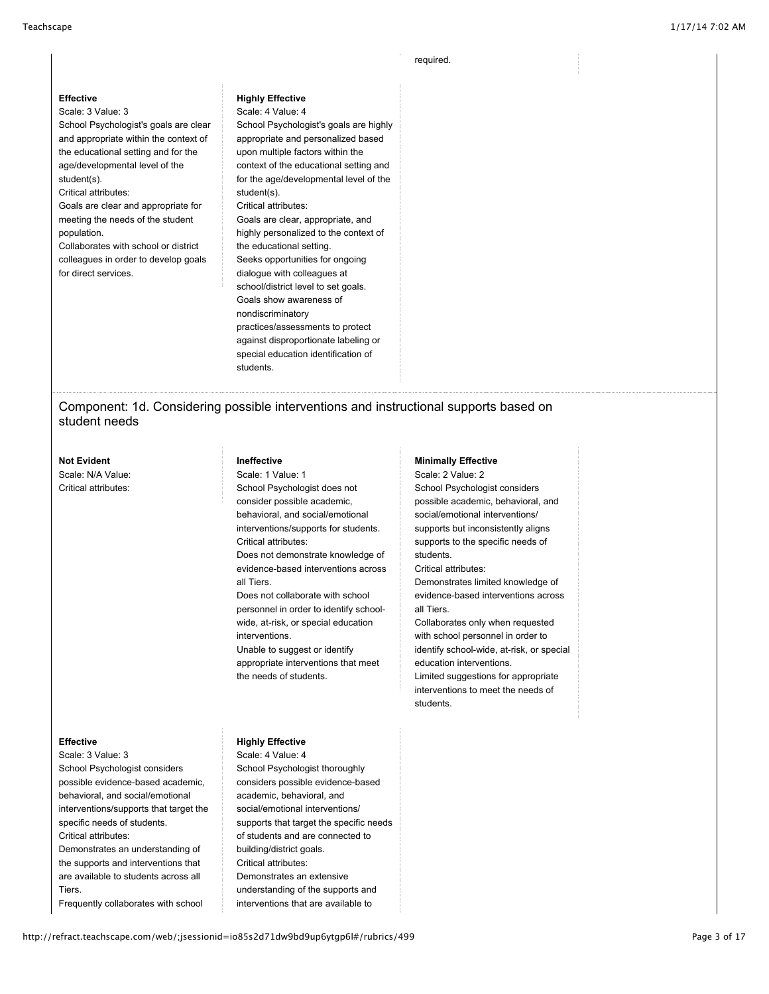required.

#### **Effective**

#### Scale: 3 Value: 3

School Psychologist's goals are clear and appropriate within the context of the educational setting and for the age/developmental level of the student(s).

#### Critical attributes:

Goals are clear and appropriate for meeting the needs of the student population.

Collaborates with school or district colleagues in order to develop goals for direct services.

#### **Highly Effective**

Scale: 4 Value: 4 School Psychologist's goals are highly appropriate and personalized based upon multiple factors within the context of the educational setting and for the age/developmental level of the student(s). Critical attributes: Goals are clear, appropriate, and highly personalized to the context of the educational setting. Seeks opportunities for ongoing dialogue with colleagues at school/district level to set goals. Goals show awareness of nondiscriminatory practices/assessments to protect against disproportionate labeling or special education identification of students.

# Component: 1d. Considering possible interventions and instructional supports based on student needs

### **Not Evident** Scale: N/A Value: Critical attributes:

## **Ineffective**

Scale: 1 Value: 1 School Psychologist does not consider possible academic, behavioral, and social/emotional interventions/supports for students. Critical attributes:

Does not demonstrate knowledge of evidence-based interventions across all Tiers.

Does not collaborate with school personnel in order to identify schoolwide, at-risk, or special education interventions.

Unable to suggest or identify appropriate interventions that meet the needs of students.

# **Minimally Effective**

Scale: 2 Value: 2 School Psychologist considers possible academic, behavioral, and social/emotional interventions/ supports but inconsistently aligns supports to the specific needs of students. Critical attributes:

Demonstrates limited knowledge of evidence-based interventions across all Tiers.

Collaborates only when requested with school personnel in order to identify school-wide, at-risk, or special education interventions. Limited suggestions for appropriate interventions to meet the needs of students.

#### **Effective**

Scale: 3 Value: 3 School Psychologist considers possible evidence-based academic, behavioral, and social/emotional interventions/supports that target the specific needs of students. Critical attributes: Demonstrates an understanding of the supports and interventions that are available to students across all Tiers. Frequently collaborates with school

# **Highly Effective**

Scale: 4 Value: 4 School Psychologist thoroughly considers possible evidence-based academic, behavioral, and social/emotional interventions/ supports that target the specific needs of students and are connected to building/district goals. Critical attributes: Demonstrates an extensive understanding of the supports and interventions that are available to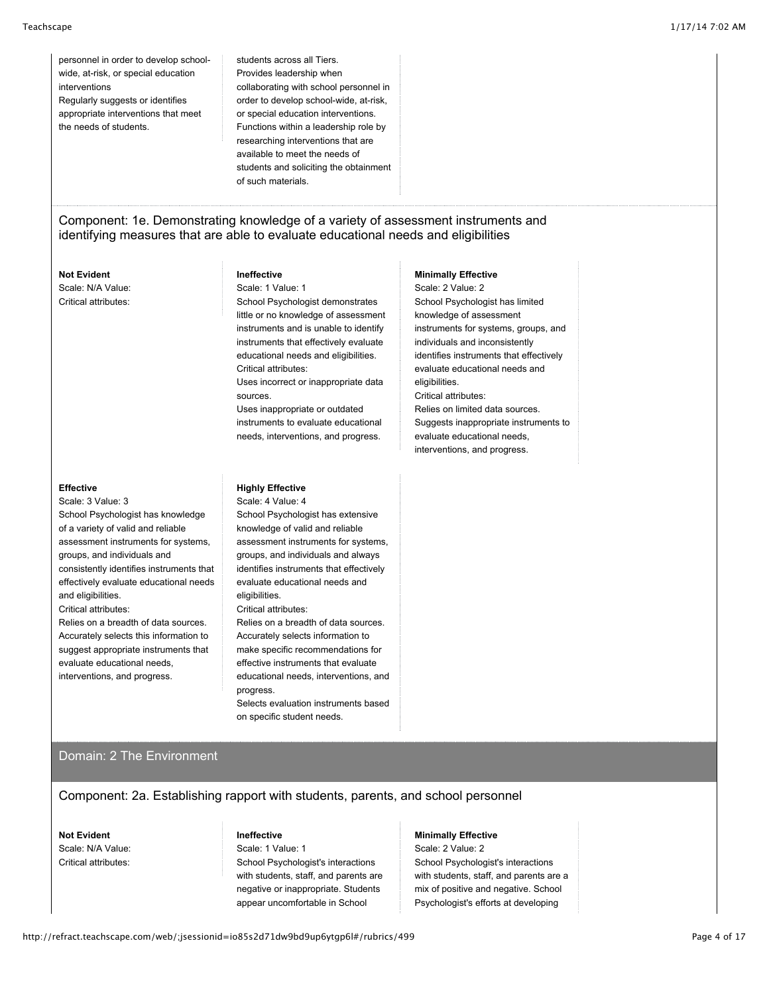personnel in order to develop schoolwide, at-risk, or special education interventions Regularly suggests or identifies appropriate interventions that meet the needs of students.

students across all Tiers. Provides leadership when collaborating with school personnel in order to develop school-wide, at-risk, or special education interventions. Functions within a leadership role by researching interventions that are available to meet the needs of students and soliciting the obtainment of such materials.

# Component: 1e. Demonstrating knowledge of a variety of assessment instruments and identifying measures that are able to evaluate educational needs and eligibilities

# **Not Evident**

Scale: N/A Value: Critical attributes:

## **Ineffective**

Scale: 1 Value: 1

School Psychologist demonstrates little or no knowledge of assessment instruments and is unable to identify instruments that effectively evaluate educational needs and eligibilities. Critical attributes:

Uses incorrect or inappropriate data sources.

Uses inappropriate or outdated instruments to evaluate educational needs, interventions, and progress.

#### **Minimally Effective**

Scale: 2 Value: 2 School Psychologist has limited knowledge of assessment instruments for systems, groups, and individuals and inconsistently identifies instruments that effectively evaluate educational needs and eligibilities. Critical attributes: Relies on limited data sources. Suggests inappropriate instruments to evaluate educational needs, interventions, and progress.

### **Effective**

Scale: 3 Value: 3 School Psychologist has knowledge of a variety of valid and reliable assessment instruments for systems, groups, and individuals and consistently identifies instruments that effectively evaluate educational needs and eligibilities. Critical attributes:

Relies on a breadth of data sources. Accurately selects this information to suggest appropriate instruments that evaluate educational needs, interventions, and progress.

## **Highly Effective**

Scale: 4 Value: 4 School Psychologist has extensive knowledge of valid and reliable assessment instruments for systems, groups, and individuals and always identifies instruments that effectively evaluate educational needs and eligibilities. Critical attributes:

Relies on a breadth of data sources. Accurately selects information to make specific recommendations for effective instruments that evaluate educational needs, interventions, and progress.

Selects evaluation instruments based on specific student needs.

# Domain: 2 The Environment

Component: 2a. Establishing rapport with students, parents, and school personnel

**Not Evident** Scale: N/A Value: Critical attributes:

# **Ineffective**

Scale: 1 Value: 1 School Psychologist's interactions with students, staff, and parents are negative or inappropriate. Students appear uncomfortable in School

## **Minimally Effective**

Scale: 2 Value: 2 School Psychologist's interactions with students, staff, and parents are a mix of positive and negative. School Psychologist's efforts at developing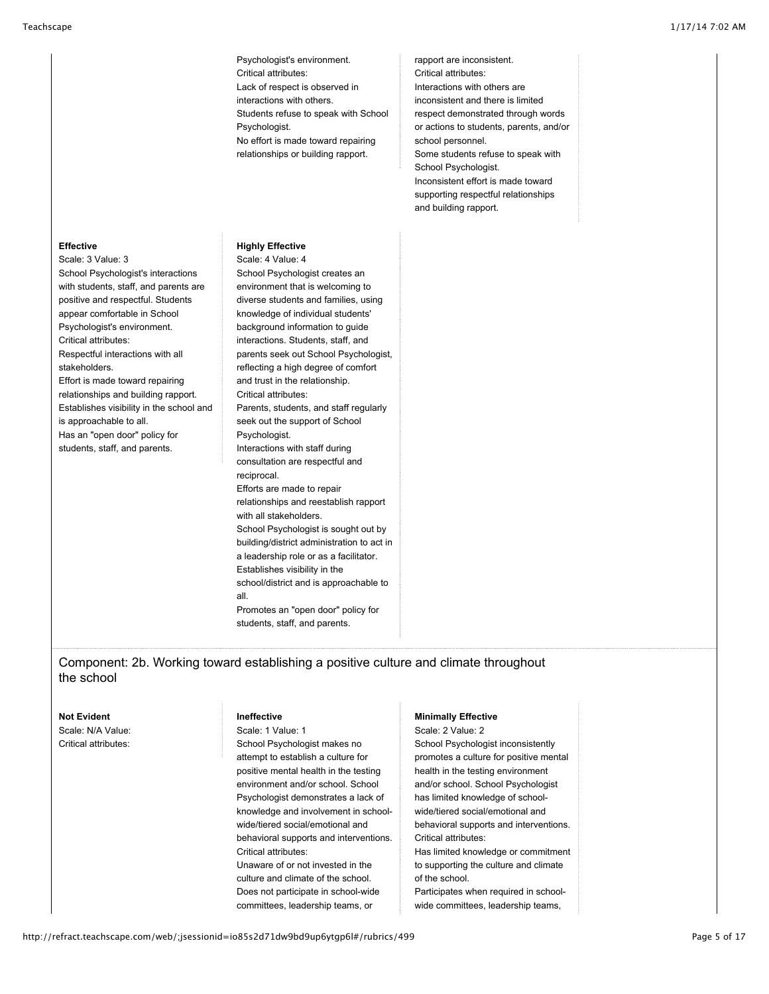Psychologist's environment. Critical attributes: Lack of respect is observed in interactions with others. Students refuse to speak with School Psychologist. No effort is made toward repairing relationships or building rapport.

rapport are inconsistent. Critical attributes: Interactions with others are inconsistent and there is limited respect demonstrated through words or actions to students, parents, and/or school personnel. Some students refuse to speak with School Psychologist. Inconsistent effort is made toward supporting respectful relationships and building rapport.

# **Effective**

Scale: 3 Value: 3 School Psychologist's interactions with students, staff, and parents are positive and respectful. Students appear comfortable in School Psychologist's environment. Critical attributes: Respectful interactions with all stakeholders. Effort is made toward repairing relationships and building rapport. Establishes visibility in the school and is approachable to all. Has an "open door" policy for students, staff, and parents.

## **Highly Effective**

Scale: 4 Value: 4 School Psychologist creates an environment that is welcoming to diverse students and families, using knowledge of individual students' background information to guide interactions. Students, staff, and parents seek out School Psychologist, reflecting a high degree of comfort and trust in the relationship. Critical attributes: Parents, students, and staff regularly seek out the support of School Psychologist. Interactions with staff during consultation are respectful and reciprocal. Efforts are made to repair relationships and reestablish rapport with all stakeholders. School Psychologist is sought out by building/district administration to act in a leadership role or as a facilitator. Establishes visibility in the school/district and is approachable to all. Promotes an "open door" policy for students, staff, and parents.

#### **Not Evident** Scale: N/A Value: **Ineffective Minimally Effective** Scale: 2 Value: 2

Component: 2b. Working toward establishing a positive culture and climate throughout

Critical attributes:

the school

Scale: 1 Value: 1

School Psychologist makes no attempt to establish a culture for positive mental health in the testing environment and/or school. School Psychologist demonstrates a lack of knowledge and involvement in schoolwide/tiered social/emotional and behavioral supports and interventions. Critical attributes: Unaware of or not invested in the culture and climate of the school. Does not participate in school-wide committees, leadership teams, or

School Psychologist inconsistently promotes a culture for positive mental health in the testing environment and/or school. School Psychologist has limited knowledge of schoolwide/tiered social/emotional and behavioral supports and interventions. Critical attributes: Has limited knowledge or commitment to supporting the culture and climate of the school. Participates when required in school-

wide committees, leadership teams,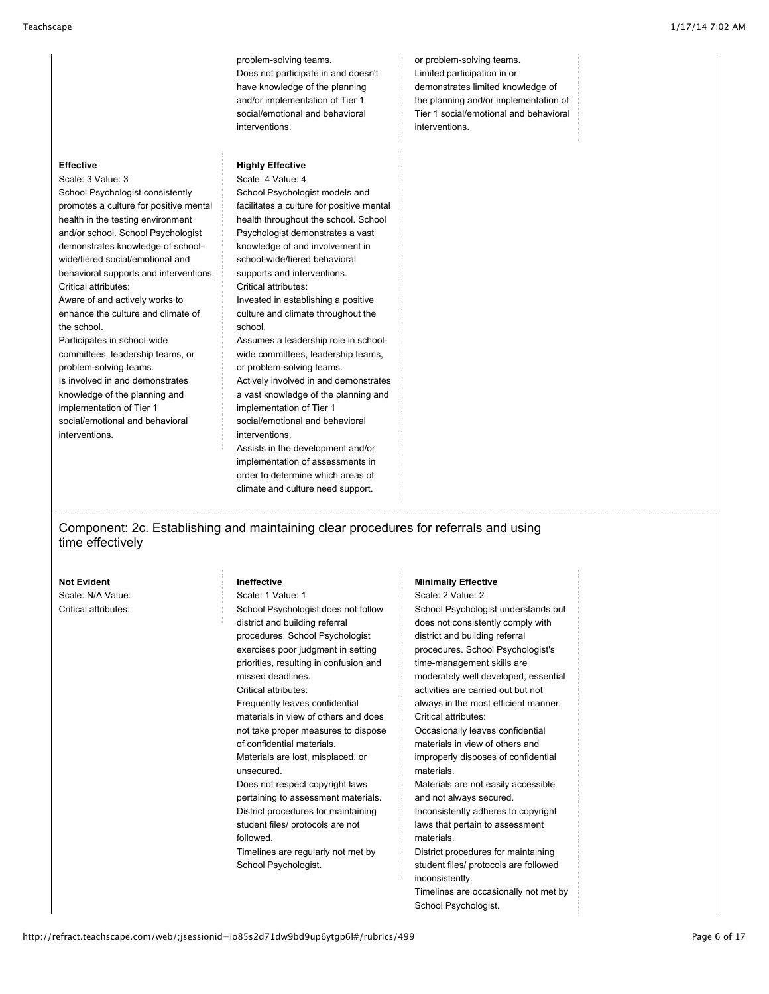problem-solving teams. Does not participate in and doesn't have knowledge of the planning and/or implementation of Tier 1 social/emotional and behavioral interventions.

## or problem-solving teams. Limited participation in or demonstrates limited knowledge of the planning and/or implementation of Tier 1 social/emotional and behavioral interventions.

## **Effective**

Scale: 3 Value: 3 School Psychologist consistently promotes a culture for positive mental health in the testing environment and/or school. School Psychologist demonstrates knowledge of schoolwide/tiered social/emotional and behavioral supports and interventions. Critical attributes: Aware of and actively works to enhance the culture and climate of the school. Participates in school-wide committees, leadership teams, or problem-solving teams. Is involved in and demonstrates knowledge of the planning and implementation of Tier 1 social/emotional and behavioral interventions.

**Highly Effective** Scale: 4 Value: 4 School Psychologist models and facilitates a culture for positive mental health throughout the school. School Psychologist demonstrates a vast knowledge of and involvement in school-wide/tiered behavioral supports and interventions. Critical attributes: Invested in establishing a positive culture and climate throughout the school. Assumes a leadership role in schoolwide committees, leadership teams, or problem-solving teams. Actively involved in and demonstrates a vast knowledge of the planning and implementation of Tier 1 social/emotional and behavioral interventions. Assists in the development and/or

implementation of assessments in order to determine which areas of climate and culture need support.

Component: 2c. Establishing and maintaining clear procedures for referrals and using time effectively

**Not Evident**

Scale: N/A Value: Critical attributes:

# **Ineffective**

Scale: 1 Value: 1 School Psychologist does not follow district and building referral procedures. School Psychologist exercises poor judgment in setting priorities, resulting in confusion and missed deadlines. Critical attributes: Frequently leaves confidential materials in view of others and does not take proper measures to dispose of confidential materials. Materials are lost, misplaced, or unsecured. Does not respect copyright laws pertaining to assessment materials. District procedures for maintaining student files/ protocols are not followed. Timelines are regularly not met by

School Psychologist.

#### **Minimally Effective**

Scale: 2 Value: 2 School Psychologist understands but does not consistently comply with district and building referral procedures. School Psychologist's time-management skills are moderately well developed; essential activities are carried out but not always in the most efficient manner. Critical attributes: Occasionally leaves confidential materials in view of others and improperly disposes of confidential materials. Materials are not easily accessible and not always secured. Inconsistently adheres to copyright laws that pertain to assessment materials. District procedures for maintaining student files/ protocols are followed inconsistently.

Timelines are occasionally not met by School Psychologist.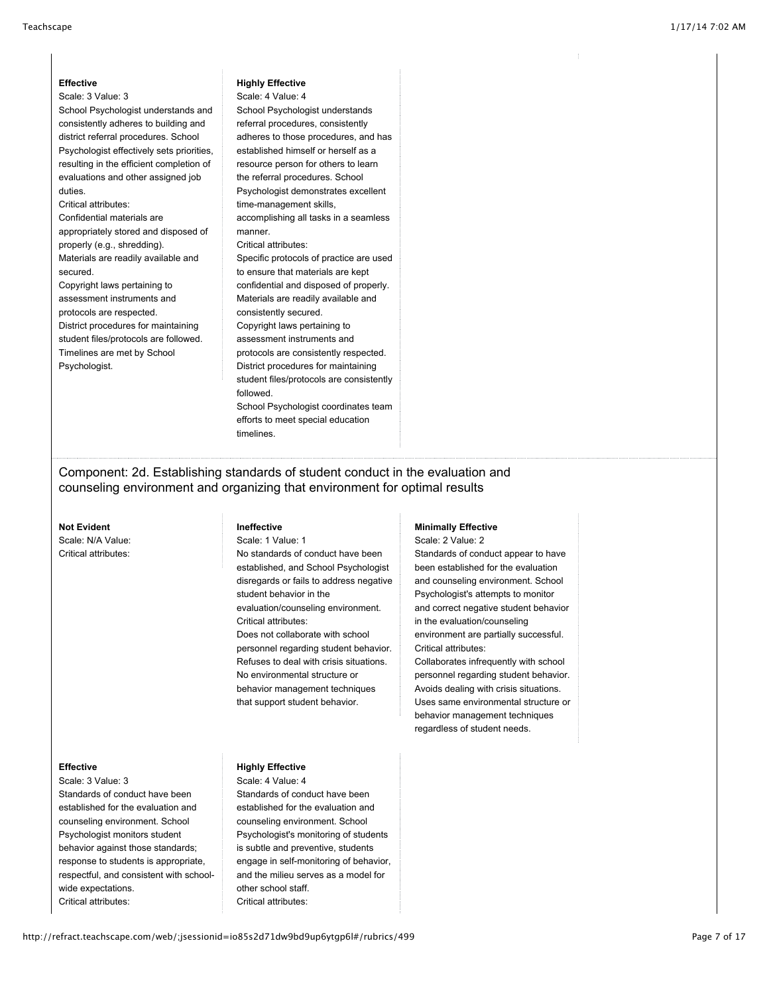#### **Effective** Scale: 3 Value: 3

School Psychologist understands and consistently adheres to building and district referral procedures. School Psychologist effectively sets priorities, resulting in the efficient completion of evaluations and other assigned job duties.

## Critical attributes:

Confidential materials are appropriately stored and disposed of properly (e.g., shredding). Materials are readily available and secured.

Copyright laws pertaining to assessment instruments and protocols are respected. District procedures for maintaining student files/protocols are followed. Timelines are met by School Psychologist.

### **Highly Effective**

Scale: 4 Value: 4 School Psychologist understands referral procedures, consistently adheres to those procedures, and has established himself or herself as a resource person for others to learn the referral procedures. School Psychologist demonstrates excellent time-management skills, accomplishing all tasks in a seamless manner. Critical attributes: Specific protocols of practice are used to ensure that materials are kept confidential and disposed of properly. Materials are readily available and consistently secured. Copyright laws pertaining to assessment instruments and protocols are consistently respected. District procedures for maintaining student files/protocols are consistently followed. School Psychologist coordinates team

efforts to meet special education timelines.

Component: 2d. Establishing standards of student conduct in the evaluation and counseling environment and organizing that environment for optimal results

#### **Not Evident**

Scale: N/A Value: Critical attributes:

## **Ineffective**

Scale: 1 Value: 1

No standards of conduct have been established, and School Psychologist disregards or fails to address negative student behavior in the evaluation/counseling environment. Critical attributes: Does not collaborate with school personnel regarding student behavior.

Refuses to deal with crisis situations. No environmental structure or behavior management techniques that support student behavior.

#### **Minimally Effective**

Scale: 2 Value: 2 Standards of conduct appear to have been established for the evaluation and counseling environment. School Psychologist's attempts to monitor and correct negative student behavior in the evaluation/counseling environment are partially successful. Critical attributes:

Collaborates infrequently with school personnel regarding student behavior. Avoids dealing with crisis situations. Uses same environmental structure or behavior management techniques regardless of student needs.

#### **Effective**

Scale: 3 Value: 3 Standards of conduct have been established for the evaluation and counseling environment. School Psychologist monitors student behavior against those standards; response to students is appropriate, respectful, and consistent with schoolwide expectations. Critical attributes:

# **Highly Effective**

Scale: 4 Value: 4 Standards of conduct have been established for the evaluation and counseling environment. School Psychologist's monitoring of students is subtle and preventive, students engage in self-monitoring of behavior, and the milieu serves as a model for other school staff. Critical attributes: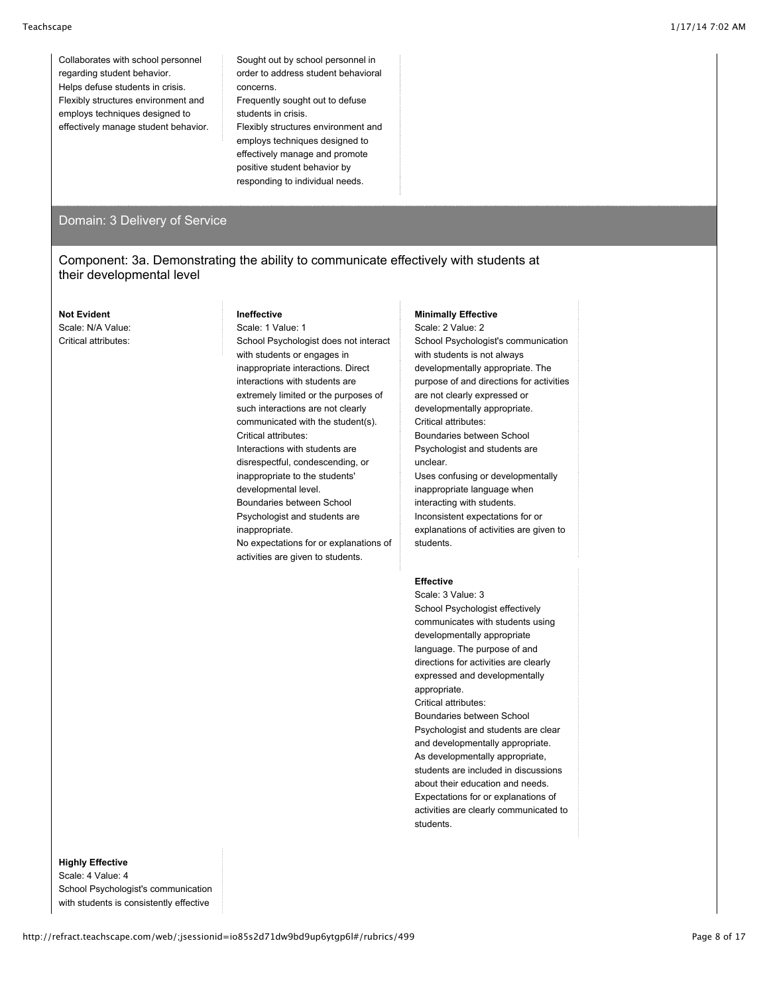Collaborates with school personnel regarding student behavior. Helps defuse students in crisis. Flexibly structures environment and employs techniques designed to effectively manage student behavior. Sought out by school personnel in order to address student behavioral concerns. Frequently sought out to defuse students in crisis. Flexibly structures environment and employs techniques designed to

effectively manage and promote positive student behavior by responding to individual needs.

# Domain: 3 Delivery of Service

# Component: 3a. Demonstrating the ability to communicate effectively with students at their developmental level

### **Not Evident** Scale: N/A Value: Critical attributes:

## **Ineffective**

Scale: 1 Value: 1 School Psychologist does not interact with students or engages in inappropriate interactions. Direct interactions with students are extremely limited or the purposes of such interactions are not clearly communicated with the student(s). Critical attributes: Interactions with students are disrespectful, condescending, or inappropriate to the students' developmental level. Boundaries between School Psychologist and students are inappropriate. No expectations for or explanations of activities are given to students.

#### **Minimally Effective**

Scale: 2 Value: 2 School Psychologist's communication with students is not always developmentally appropriate. The purpose of and directions for activities are not clearly expressed or developmentally appropriate. Critical attributes: Boundaries between School Psychologist and students are unclear. Uses confusing or developmentally inappropriate language when interacting with students. Inconsistent expectations for or explanations of activities are given to students.

### **Effective**

Scale: 3 Value: 3 School Psychologist effectively communicates with students using developmentally appropriate language. The purpose of and directions for activities are clearly expressed and developmentally appropriate. Critical attributes: Boundaries between School Psychologist and students are clear and developmentally appropriate. As developmentally appropriate, students are included in discussions about their education and needs. Expectations for or explanations of activities are clearly communicated to students.

## **Highly Effective**

Scale: 4 Value: 4 School Psychologist's communication with students is consistently effective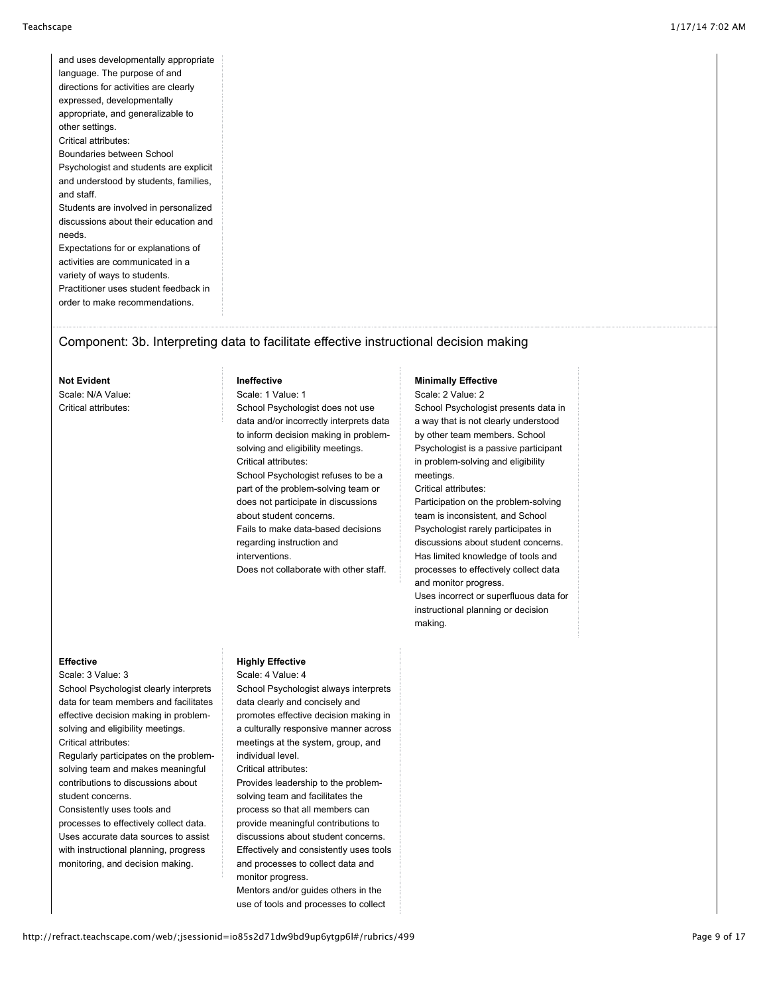and uses developmentally appropriate language. The purpose of and directions for activities are clearly expressed, developmentally appropriate, and generalizable to other settings. Critical attributes: Boundaries between School Psychologist and students are explicit and understood by students, families, and staff. Students are involved in personalized discussions about their education and needs. Expectations for or explanations of activities are communicated in a

variety of ways to students. Practitioner uses student feedback in order to make recommendations.

# Component: 3b. Interpreting data to facilitate effective instructional decision making

#### **Not Evident**

Scale: N/A Value: Critical attributes:

## **Ineffective**

Scale: 1 Value: 1 School Psychologist does not use data and/or incorrectly interprets data to inform decision making in problemsolving and eligibility meetings. Critical attributes: School Psychologist refuses to be a part of the problem-solving team or does not participate in discussions about student concerns. Fails to make data-based decisions regarding instruction and interventions. Does not collaborate with other staff.

#### **Minimally Effective**

Scale: 2 Value: 2 School Psychologist presents data in a way that is not clearly understood by other team members. School Psychologist is a passive participant in problem-solving and eligibility meetings.

Critical attributes: Participation on the problem-solving team is inconsistent, and School Psychologist rarely participates in discussions about student concerns. Has limited knowledge of tools and processes to effectively collect data and monitor progress. Uses incorrect or superfluous data for instructional planning or decision making.

## **Effective**

Scale: 3 Value: 3 School Psychologist clearly interprets data for team members and facilitates effective decision making in problemsolving and eligibility meetings. Critical attributes:

Regularly participates on the problemsolving team and makes meaningful contributions to discussions about student concerns.

Consistently uses tools and processes to effectively collect data. Uses accurate data sources to assist with instructional planning, progress monitoring, and decision making.

### **Highly Effective**

Scale: 4 Value: 4

School Psychologist always interprets data clearly and concisely and promotes effective decision making in a culturally responsive manner across meetings at the system, group, and individual level.

Critical attributes:

Provides leadership to the problemsolving team and facilitates the process so that all members can provide meaningful contributions to discussions about student concerns. Effectively and consistently uses tools and processes to collect data and monitor progress.

Mentors and/or guides others in the use of tools and processes to collect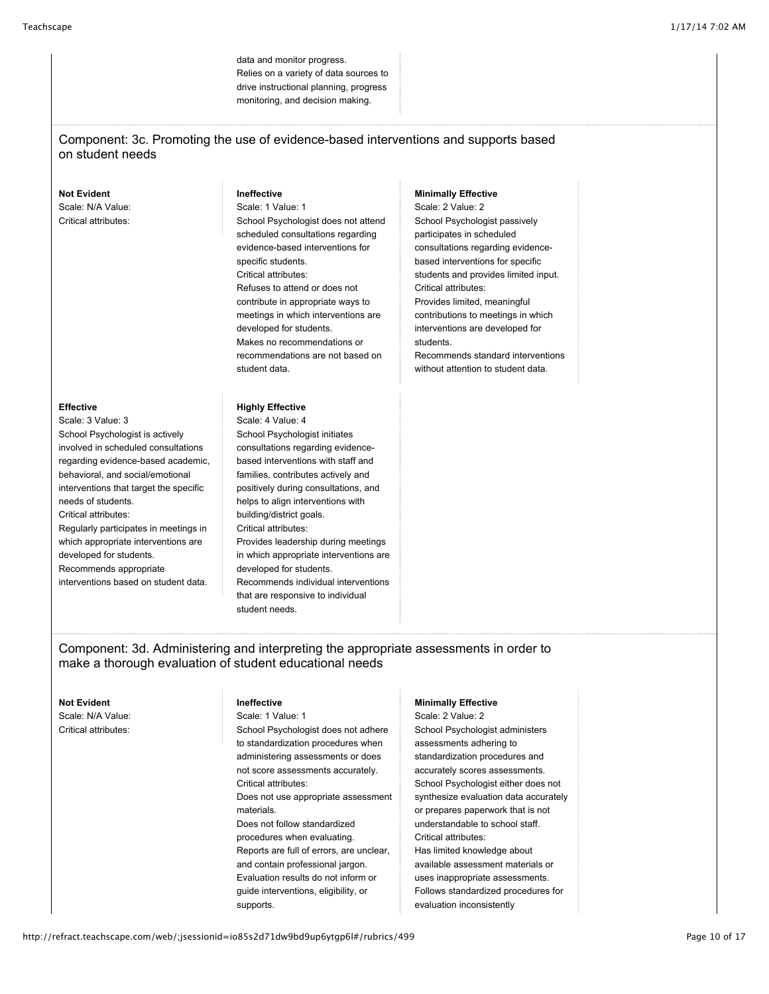data and monitor progress. Relies on a variety of data sources to drive instructional planning, progress monitoring, and decision making.

## Component: 3c. Promoting the use of evidence-based interventions and supports based on student needs

### **Not Evident**

Scale: N/A Value: Critical attributes:

- **Effective**
- Scale: 3 Value: 3 School Psychologist is actively involved in scheduled consultations regarding evidence-based academic, behavioral, and social/emotional interventions that target the specific needs of students. Critical attributes: Regularly participates in meetings in which appropriate interventions are developed for students. Recommends appropriate interventions based on student data.

## **Ineffective**

Scale: 1 Value: 1 School Psychologist does not attend scheduled consultations regarding evidence-based interventions for specific students. Critical attributes: Refuses to attend or does not contribute in appropriate ways to meetings in which interventions are developed for students. Makes no recommendations or recommendations are not based on student data.

## **Highly Effective**

Scale: 4 Value: 4 School Psychologist initiates consultations regarding evidencebased interventions with staff and families, contributes actively and positively during consultations, and helps to align interventions with building/district goals. Critical attributes: Provides leadership during meetings in which appropriate interventions are developed for students. Recommends individual interventions that are responsive to individual student needs.

**Minimally Effective**

Scale: 2 Value: 2 School Psychologist passively participates in scheduled consultations regarding evidencebased interventions for specific students and provides limited input. Critical attributes: Provides limited, meaningful contributions to meetings in which interventions are developed for students. Recommends standard interventions

without attention to student data.

Component: 3d. Administering and interpreting the appropriate assessments in order to make a thorough evaluation of student educational needs

### **Not Evident** Scale: N/A Value: Critical attributes:

#### **Ineffective**

#### Scale: 1 Value: 1

School Psychologist does not adhere to standardization procedures when administering assessments or does not score assessments accurately. Critical attributes: Does not use appropriate assessment materials. Does not follow standardized procedures when evaluating. Reports are full of errors, are unclear, and contain professional jargon. Evaluation results do not inform or guide interventions, eligibility, or supports.

## **Minimally Effective**

Scale: 2 Value: 2 School Psychologist administers assessments adhering to standardization procedures and accurately scores assessments. School Psychologist either does not synthesize evaluation data accurately or prepares paperwork that is not understandable to school staff. Critical attributes: Has limited knowledge about available assessment materials or uses inappropriate assessments. Follows standardized procedures for evaluation inconsistently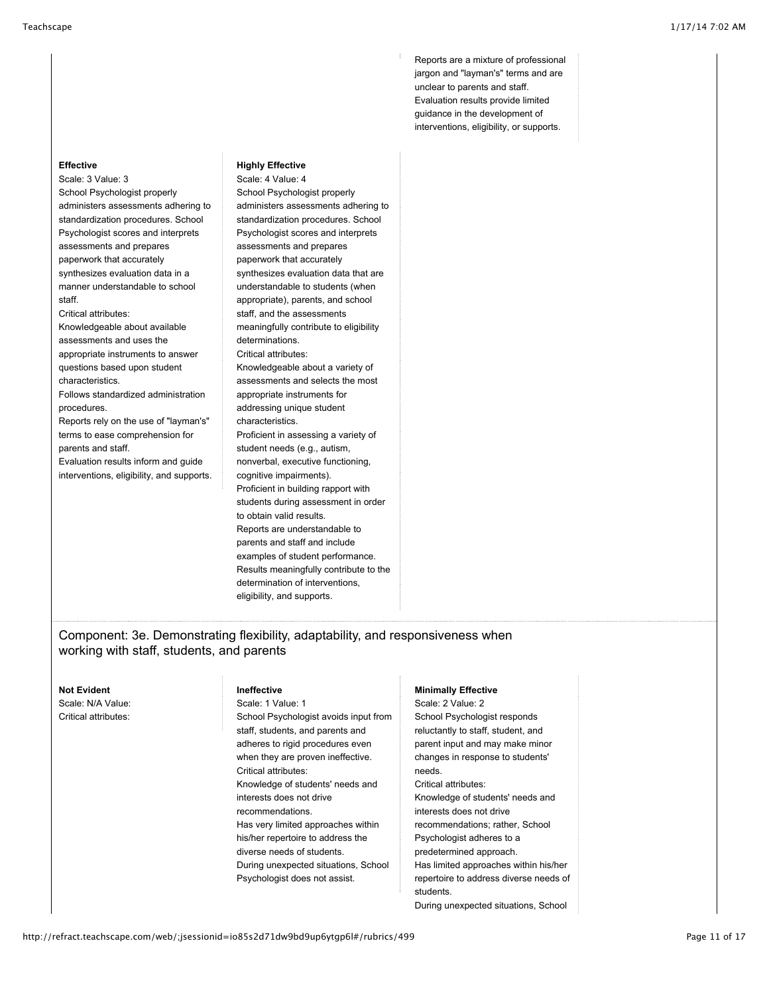Reports are a mixture of professional jargon and "layman's" terms and are unclear to parents and staff. Evaluation results provide limited guidance in the development of interventions, eligibility, or supports.

## Scale: 3 Value: 3 School Psychologist properly administers assessments adhering to standardization procedures. School Psychologist scores and interprets

**Effective**

assessments and prepares paperwork that accurately synthesizes evaluation data in a manner understandable to school staff.

Critical attributes:

Knowledgeable about available

assessments and uses the appropriate instruments to answer questions based upon student

characteristics.

Follows standardized administration procedures.

Reports rely on the use of "layman's" terms to ease comprehension for parents and staff.

Evaluation results inform and guide interventions, eligibility, and supports.

### **Highly Effective**

Scale: 4 Value: 4 School Psychologist properly administers assessments adhering to standardization procedures. School Psychologist scores and interprets assessments and prepares paperwork that accurately synthesizes evaluation data that are understandable to students (when appropriate), parents, and school staff, and the assessments meaningfully contribute to eligibility determinations. Critical attributes: Knowledgeable about a variety of assessments and selects the most appropriate instruments for addressing unique student characteristics. Proficient in assessing a variety of student needs (e.g., autism, nonverbal, executive functioning, cognitive impairments). Proficient in building rapport with students during assessment in order to obtain valid results. Reports are understandable to parents and staff and include examples of student performance. Results meaningfully contribute to the determination of interventions, eligibility, and supports.

# Component: 3e. Demonstrating flexibility, adaptability, and responsiveness when working with staff, students, and parents

#### **Not Evident**

Scale: N/A Value: Critical attributes:

# **Ineffective**

Scale: 1 Value: 1 School Psychologist avoids input from staff, students, and parents and adheres to rigid procedures even when they are proven ineffective. Critical attributes: Knowledge of students' needs and interests does not drive recommendations. Has very limited approaches within his/her repertoire to address the diverse needs of students. During unexpected situations, School Psychologist does not assist.

### **Minimally Effective**

Scale: 2 Value: 2 School Psychologist responds reluctantly to staff, student, and parent input and may make minor changes in response to students' needs. Critical attributes: Knowledge of students' needs and interests does not drive recommendations; rather, School Psychologist adheres to a predetermined approach. Has limited approaches within his/her repertoire to address diverse needs of students. During unexpected situations, School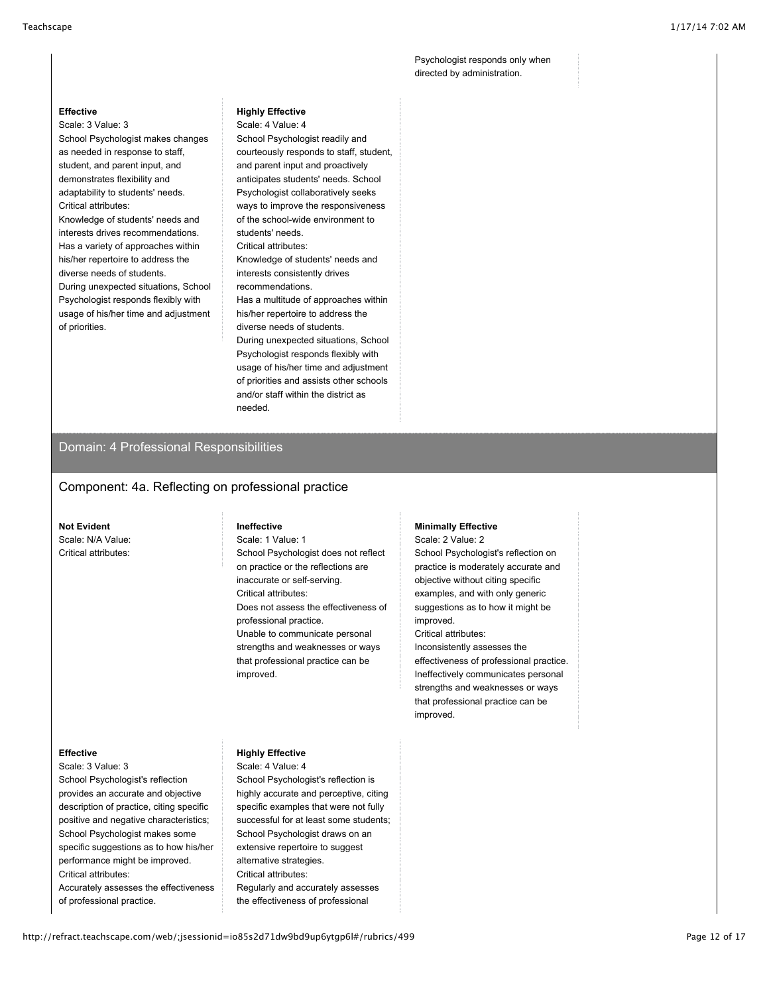Psychologist responds only when directed by administration.

## **Effective**

Scale: 3 Value: 3 School Psychologist makes changes as needed in response to staff, student, and parent input, and demonstrates flexibility and adaptability to students' needs. Critical attributes: Knowledge of students' needs and

interests drives recommendations. Has a variety of approaches within his/her repertoire to address the diverse needs of students. During unexpected situations, School Psychologist responds flexibly with usage of his/her time and adjustment of priorities.

### **Highly Effective**

Scale: 4 Value: 4 School Psychologist readily and courteously responds to staff, student, and parent input and proactively anticipates students' needs. School Psychologist collaboratively seeks ways to improve the responsiveness of the school-wide environment to students' needs. Critical attributes: Knowledge of students' needs and interests consistently drives recommendations. Has a multitude of approaches within his/her repertoire to address the diverse needs of students. During unexpected situations, School Psychologist responds flexibly with usage of his/her time and adjustment of priorities and assists other schools and/or staff within the district as needed.

## Domain: 4 Professional Responsibilities

## Component: 4a. Reflecting on professional practice

### **Not Evident**

Scale: N/A Value: Critical attributes:

#### **Ineffective**

Scale: 1 Value: 1 School Psychologist does not reflect on practice or the reflections are inaccurate or self-serving. Critical attributes: Does not assess the effectiveness of professional practice. Unable to communicate personal strengths and weaknesses or ways that professional practice can be improved.

#### **Minimally Effective**

Scale: 2 Value: 2 School Psychologist's reflection on practice is moderately accurate and objective without citing specific examples, and with only generic suggestions as to how it might be improved.

Critical attributes: Inconsistently assesses the effectiveness of professional practice. Ineffectively communicates personal strengths and weaknesses or ways that professional practice can be improved.

### **Effective**

Scale: 3 Value: 3 School Psychologist's reflection provides an accurate and objective description of practice, citing specific positive and negative characteristics; School Psychologist makes some specific suggestions as to how his/her performance might be improved. Critical attributes:

Accurately assesses the effectiveness of professional practice.

#### **Highly Effective** Scale: 4 Value: 4

School Psychologist's reflection is highly accurate and perceptive, citing specific examples that were not fully successful for at least some students; School Psychologist draws on an extensive repertoire to suggest alternative strategies. Critical attributes: Regularly and accurately assesses the effectiveness of professional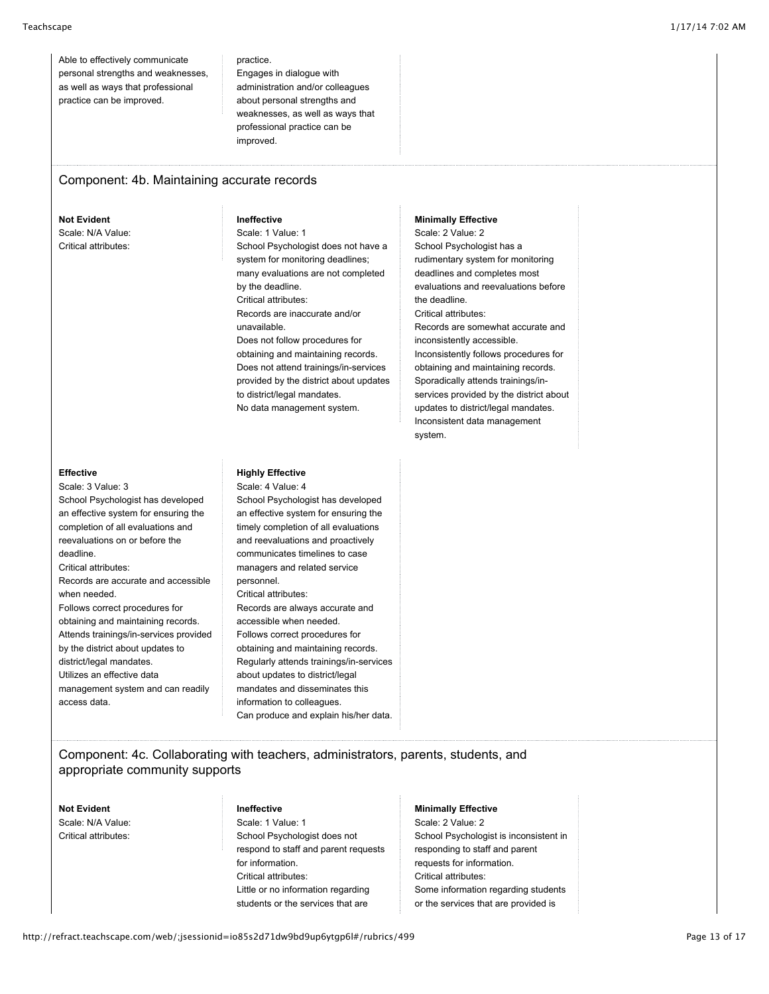Able to effectively communicate personal strengths and weaknesses, as well as ways that professional practice can be improved.

practice. Engages in dialogue with administration and/or colleagues about personal strengths and weaknesses, as well as ways that professional practice can be improved.

# Component: 4b. Maintaining accurate records

**Not Evident** Scale: N/A Value: Critical attributes:

**Ineffective**

Scale: 1 Value: 1 School Psychologist does not have a system for monitoring deadlines; many evaluations are not completed by the deadline. Critical attributes: Records are inaccurate and/or unavailable. Does not follow procedures for obtaining and maintaining records. Does not attend trainings/in-services provided by the district about updates to district/legal mandates. No data management system.

### **Minimally Effective**

Scale: 2 Value: 2 School Psychologist has a rudimentary system for monitoring deadlines and completes most evaluations and reevaluations before the deadline. Critical attributes: Records are somewhat accurate and inconsistently accessible. Inconsistently follows procedures for obtaining and maintaining records. Sporadically attends trainings/inservices provided by the district about updates to district/legal mandates. Inconsistent data management system.

#### **Effective**

Scale: 3 Value: 3 School Psychologist has developed an effective system for ensuring the completion of all evaluations and reevaluations on or before the deadline. Critical attributes: Records are accurate and accessible when needed. Follows correct procedures for obtaining and maintaining records. Attends trainings/in-services provided by the district about updates to district/legal mandates. Utilizes an effective data management system and can readily access data.

## **Highly Effective**

Scale: 4 Value: 4 School Psychologist has developed an effective system for ensuring the timely completion of all evaluations and reevaluations and proactively communicates timelines to case managers and related service personnel. Critical attributes: Records are always accurate and accessible when needed. Follows correct procedures for obtaining and maintaining records. Regularly attends trainings/in-services about updates to district/legal mandates and disseminates this information to colleagues. Can produce and explain his/her data.

# Component: 4c. Collaborating with teachers, administrators, parents, students, and appropriate community supports

**Not Evident** Scale: N/A Value: Critical attributes:

# **Ineffective**

Scale: 1 Value: 1 School Psychologist does not respond to staff and parent requests for information. Critical attributes: Little or no information regarding students or the services that are

# **Minimally Effective**

Scale: 2 Value: 2 School Psychologist is inconsistent in responding to staff and parent requests for information. Critical attributes: Some information regarding students or the services that are provided is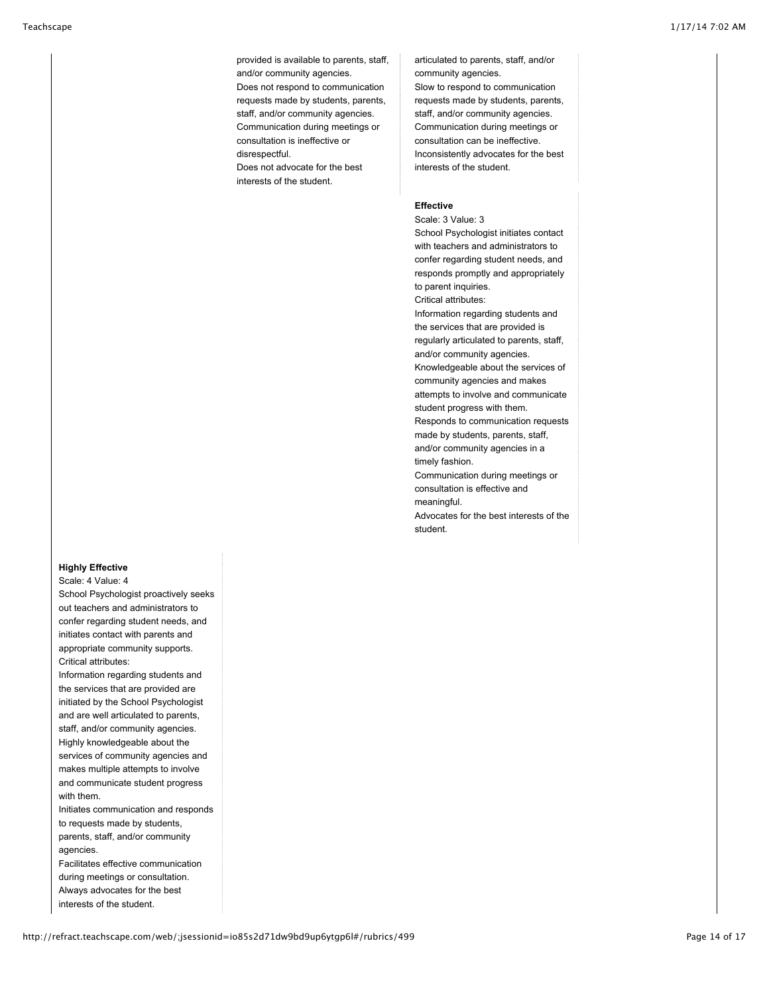provided is available to parents, staff, and/or community agencies. Does not respond to communication requests made by students, parents, staff, and/or community agencies. Communication during meetings or consultation is ineffective or disrespectful.

Does not advocate for the best interests of the student.

articulated to parents, staff, and/or community agencies.

Slow to respond to communication requests made by students, parents, staff, and/or community agencies. Communication during meetings or consultation can be ineffective. Inconsistently advocates for the best interests of the student.

### **Effective**

student.

Scale: 3 Value: 3 School Psychologist initiates contact with teachers and administrators to confer regarding student needs, and responds promptly and appropriately to parent inquiries. Critical attributes: Information regarding students and the services that are provided is regularly articulated to parents, staff, and/or community agencies. Knowledgeable about the services of community agencies and makes attempts to involve and communicate student progress with them. Responds to communication requests made by students, parents, staff, and/or community agencies in a timely fashion. Communication during meetings or consultation is effective and meaningful. Advocates for the best interests of the

## **Highly Effective**

Scale: 4 Value: 4

School Psychologist proactively seeks out teachers and administrators to confer regarding student needs, and initiates contact with parents and appropriate community supports. Critical attributes:

Information regarding students and the services that are provided are initiated by the School Psychologist and are well articulated to parents, staff, and/or community agencies. Highly knowledgeable about the services of community agencies and makes multiple attempts to involve and communicate student progress with them.

Initiates communication and responds to requests made by students, parents, staff, and/or community agencies.

Facilitates effective communication during meetings or consultation. Always advocates for the best interests of the student.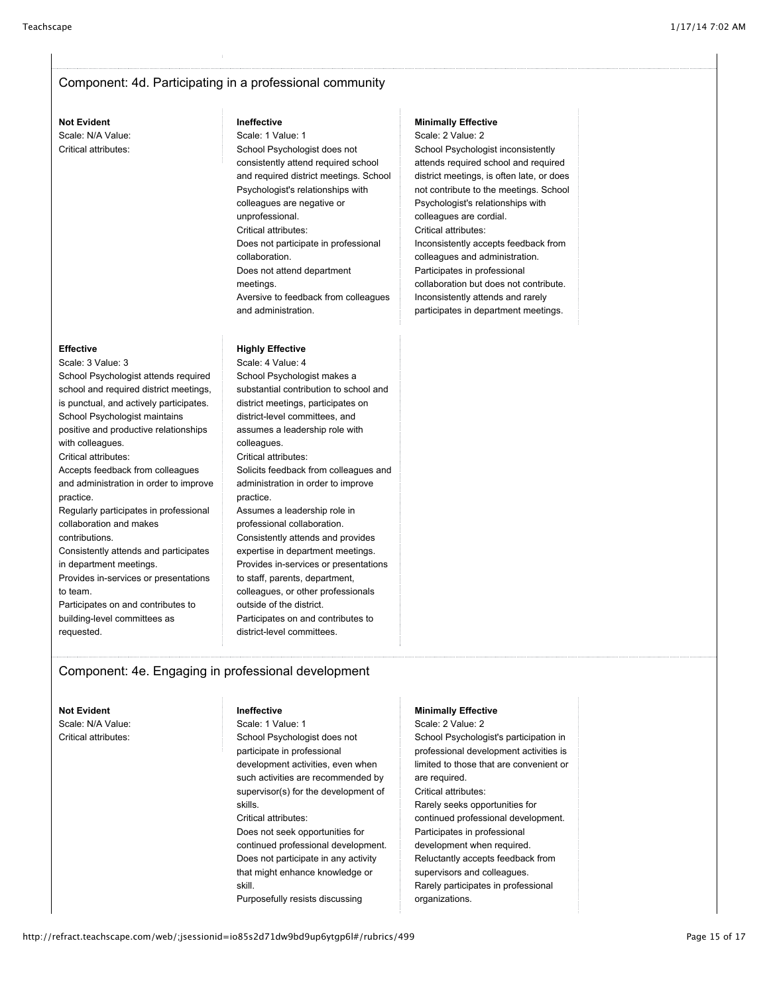# Component: 4d. Participating in a professional community

## **Not Evident** Scale: N/A Value:

Critical attributes:

### **Ineffective**

Scale: 1 Value: 1 School Psychologist does not consistently attend required school and required district meetings. School Psychologist's relationships with colleagues are negative or unprofessional. Critical attributes: Does not participate in professional collaboration. Does not attend department meetings. Aversive to feedback from colleagues and administration.

## **Highly Effective**

Scale: 4 Value: 4 School Psychologist makes a substantial contribution to school and district meetings, participates on district-level committees, and assumes a leadership role with colleagues. Critical attributes: Solicits feedback from colleagues and administration in order to improve practice. Assumes a leadership role in professional collaboration. Consistently attends and provides expertise in department meetings. Provides in-services or presentations to staff, parents, department, colleagues, or other professionals outside of the district. Participates on and contributes to district-level committees.

## **Minimally Effective**

Scale: 2 Value: 2 School Psychologist inconsistently attends required school and required district meetings, is often late, or does not contribute to the meetings. School Psychologist's relationships with colleagues are cordial. Critical attributes: Inconsistently accepts feedback from colleagues and administration. Participates in professional collaboration but does not contribute. Inconsistently attends and rarely participates in department meetings.

### **Effective**

Scale: 3 Value: 3 School Psychologist attends required school and required district meetings, is punctual, and actively participates. School Psychologist maintains positive and productive relationships with colleagues. Critical attributes: Accepts feedback from colleagues and administration in order to improve practice. Regularly participates in professional collaboration and makes contributions. Consistently attends and participates in department meetings. Provides in-services or presentations to team. Participates on and contributes to building-level committees as requested.

# Component: 4e. Engaging in professional development

# **Not Evident**

Scale: N/A Value: Critical attributes:

#### **Ineffective**

Scale: 1 Value: 1 School Psychologist does not participate in professional development activities, even when such activities are recommended by supervisor(s) for the development of skills. Critical attributes: Does not seek opportunities for continued professional development. Does not participate in any activity that might enhance knowledge or skill.

Purposefully resists discussing

### **Minimally Effective**

Scale: 2 Value: 2 School Psychologist's participation in professional development activities is limited to those that are convenient or are required. Critical attributes: Rarely seeks opportunities for continued professional development. Participates in professional development when required. Reluctantly accepts feedback from supervisors and colleagues. Rarely participates in professional organizations.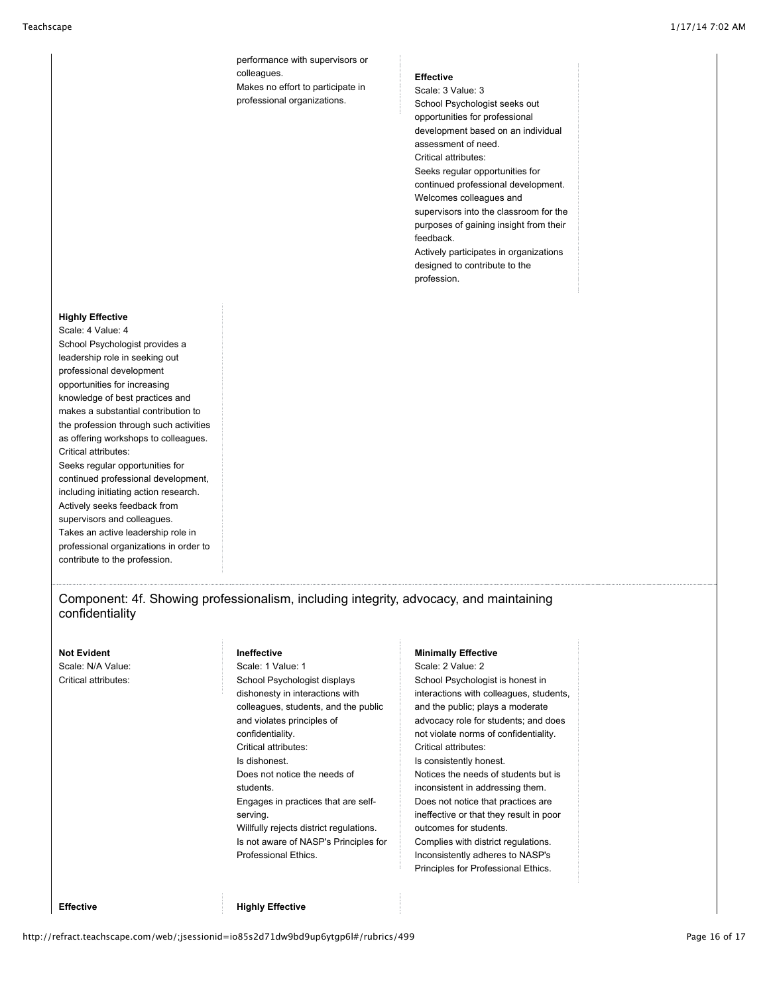performance with supervisors or colleagues. Makes no effort to participate in professional organizations.

#### **Effective**

Scale: 3 Value: 3 School Psychologist seeks out opportunities for professional development based on an individual assessment of need. Critical attributes: Seeks regular opportunities for continued professional development. Welcomes colleagues and supervisors into the classroom for the purposes of gaining insight from their feedback. Actively participates in organizations designed to contribute to the

profession.

## **Highly Effective**

Scale: 4 Value: 4 School Psychologist provides a leadership role in seeking out professional development opportunities for increasing knowledge of best practices and makes a substantial contribution to the profession through such activities as offering workshops to colleagues. Critical attributes: Seeks regular opportunities for continued professional development, including initiating action research. Actively seeks feedback from supervisors and colleagues. Takes an active leadership role in professional organizations in order to contribute to the profession.

Component: 4f. Showing professionalism, including integrity, advocacy, and maintaining confidentiality

#### **Not Evident**

Scale: N/A Value: Critical attributes:

#### **Ineffective**

Scale: 1 Value: 1 School Psychologist displays dishonesty in interactions with colleagues, students, and the public and violates principles of confidentiality. Critical attributes: Is dishonest. Does not notice the needs of students. Engages in practices that are selfserving. Willfully rejects district regulations. Is not aware of NASP's Principles for Professional Ethics.

#### **Minimally Effective**

Scale: 2 Value: 2 School Psychologist is honest in interactions with colleagues, students, and the public; plays a moderate advocacy role for students; and does not violate norms of confidentiality. Critical attributes: Is consistently honest. Notices the needs of students but is inconsistent in addressing them. Does not notice that practices are ineffective or that they result in poor outcomes for students. Complies with district regulations. Inconsistently adheres to NASP's Principles for Professional Ethics.

**Effective Highly Effective**